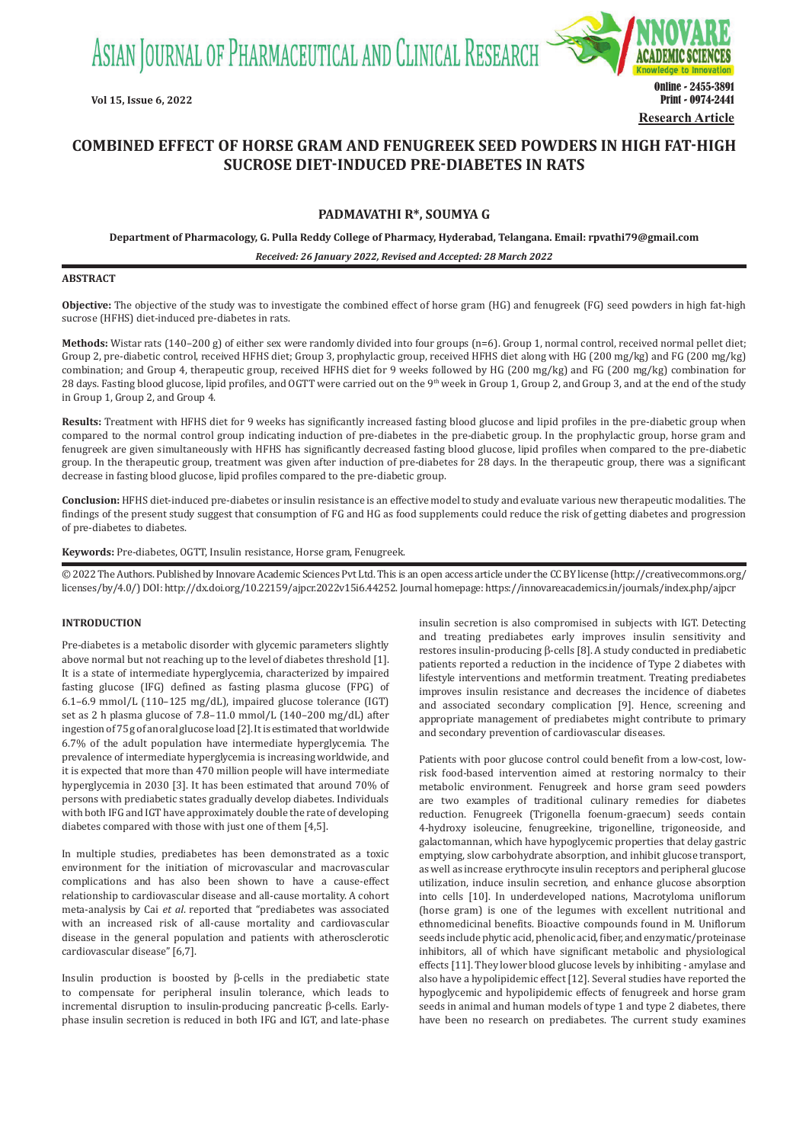ASIAN JOURNAL OF PHARMACEUTICAL AND CLINICAL RESEARCH



# **COMBINED EFFECT OF HORSE GRAM AND FENUGREEK SEED POWDERS IN HIGH FAT-HIGH SUCROSE DIET-INDUCED PRE-DIABETES IN RATS**

# **PADMAVATHI R\*, SOUMYA G**

**Department of Pharmacology, G. Pulla Reddy College of Pharmacy, Hyderabad, Telangana. Email: rpvathi79@gmail.com**

*Received: 26 January 2022, Revised and Accepted: 28 March 2022*

# **ABSTRACT**

**Objective:** The objective of the study was to investigate the combined effect of horse gram (HG) and fenugreek (FG) seed powders in high fat-high sucrose (HFHS) diet-induced pre-diabetes in rats.

**Methods:** Wistar rats (140–200 g) of either sex were randomly divided into four groups (n=6). Group 1, normal control, received normal pellet diet; Group 2, pre-diabetic control, received HFHS diet; Group 3, prophylactic group, received HFHS diet along with HG (200 mg/kg) and FG (200 mg/kg) combination; and Group 4, therapeutic group, received HFHS diet for 9 weeks followed by HG (200 mg/kg) and FG (200 mg/kg) combination for 28 days. Fasting blood glucose, lipid profiles, and OGTT were carried out on the 9<sup>th</sup> week in Group 1, Group 2, and Group 3, and at the end of the study in Group 1, Group 2, and Group 4.

**Results:** Treatment with HFHS diet for 9 weeks has significantly increased fasting blood glucose and lipid profiles in the pre-diabetic group when compared to the normal control group indicating induction of pre-diabetes in the pre-diabetic group. In the prophylactic group, horse gram and fenugreek are given simultaneously with HFHS has significantly decreased fasting blood glucose, lipid profiles when compared to the pre-diabetic group. In the therapeutic group, treatment was given after induction of pre-diabetes for 28 days. In the therapeutic group, there was a significant decrease in fasting blood glucose, lipid profiles compared to the pre-diabetic group.

**Conclusion:** HFHS diet-induced pre-diabetes or insulin resistance is an effective model to study and evaluate various new therapeutic modalities. The findings of the present study suggest that consumption of FG and HG as food supplements could reduce the risk of getting diabetes and progression of pre-diabetes to diabetes.

**Keywords:** Pre-diabetes, OGTT, Insulin resistance, Horse gram, Fenugreek.

© 2022 The Authors. Published by Innovare Academic Sciences Pvt Ltd. This is an open access article under the CC BY license (http://creativecommons.org/ licenses/by/4.0/) DOI: http://dx.doi.org/10.22159/ajpcr.2022v15i6.44252. Journal homepage: https://innovareacademics.in/journals/index.php/ajpcr

# **INTRODUCTION**

Pre-diabetes is a metabolic disorder with glycemic parameters slightly above normal but not reaching up to the level of diabetes threshold [1]. It is a state of intermediate hyperglycemia, characterized by impaired fasting glucose (IFG) defined as fasting plasma glucose (FPG) of 6.1–6.9 mmol/L (110–125 mg/dL), impaired glucose tolerance (IGT) set as 2 h plasma glucose of 7.8–11.0 mmol/L (140–200 mg/dL) after ingestion of 75g of an oral glucose load [2]. It is estimated that worldwide 6.7% of the adult population have intermediate hyperglycemia. The prevalence of intermediate hyperglycemia is increasing worldwide, and it is expected that more than 470 million people will have intermediate hyperglycemia in 2030 [3]. It has been estimated that around 70% of persons with prediabetic states gradually develop diabetes. Individuals with both IFG and IGT have approximately double the rate of developing diabetes compared with those with just one of them [4,5].

In multiple studies, prediabetes has been demonstrated as a toxic environment for the initiation of microvascular and macrovascular complications and has also been shown to have a cause-effect relationship to cardiovascular disease and all-cause mortality. A cohort meta-analysis by Cai *et al*. reported that "prediabetes was associated with an increased risk of all-cause mortality and cardiovascular disease in the general population and patients with atherosclerotic cardiovascular disease" [6,7].

Insulin production is boosted by β-cells in the prediabetic state to compensate for peripheral insulin tolerance, which leads to incremental disruption to insulin-producing pancreatic β-cells. Earlyphase insulin secretion is reduced in both IFG and IGT, and late-phase

insulin secretion is also compromised in subjects with IGT. Detecting and treating prediabetes early improves insulin sensitivity and restores insulin-producing β-cells [8]. A study conducted in prediabetic patients reported a reduction in the incidence of Type 2 diabetes with lifestyle interventions and metformin treatment. Treating prediabetes improves insulin resistance and decreases the incidence of diabetes and associated secondary complication [9]. Hence, screening and appropriate management of prediabetes might contribute to primary and secondary prevention of cardiovascular diseases.

Patients with poor glucose control could benefit from a low-cost, lowrisk food-based intervention aimed at restoring normalcy to their metabolic environment. Fenugreek and horse gram seed powders are two examples of traditional culinary remedies for diabetes reduction. Fenugreek (Trigonella foenum-graecum) seeds contain 4-hydroxy isoleucine, fenugreekine, trigonelline, trigoneoside, and galactomannan, which have hypoglycemic properties that delay gastric emptying, slow carbohydrate absorption, and inhibit glucose transport, as well as increase erythrocyte insulin receptors and peripheral glucose utilization, induce insulin secretion, and enhance glucose absorption into cells [10]. In underdeveloped nations, Macrotyloma uniflorum (horse gram) is one of the legumes with excellent nutritional and ethnomedicinal benefits. Bioactive compounds found in M. Uniflorum seeds include phytic acid, phenolic acid, fiber, and enzymatic/proteinase inhibitors, all of which have significant metabolic and physiological effects [11]. They lower blood glucose levels by inhibiting - amylase and also have a hypolipidemic effect [12]. Several studies have reported the hypoglycemic and hypolipidemic effects of fenugreek and horse gram seeds in animal and human models of type 1 and type 2 diabetes, there have been no research on prediabetes. The current study examines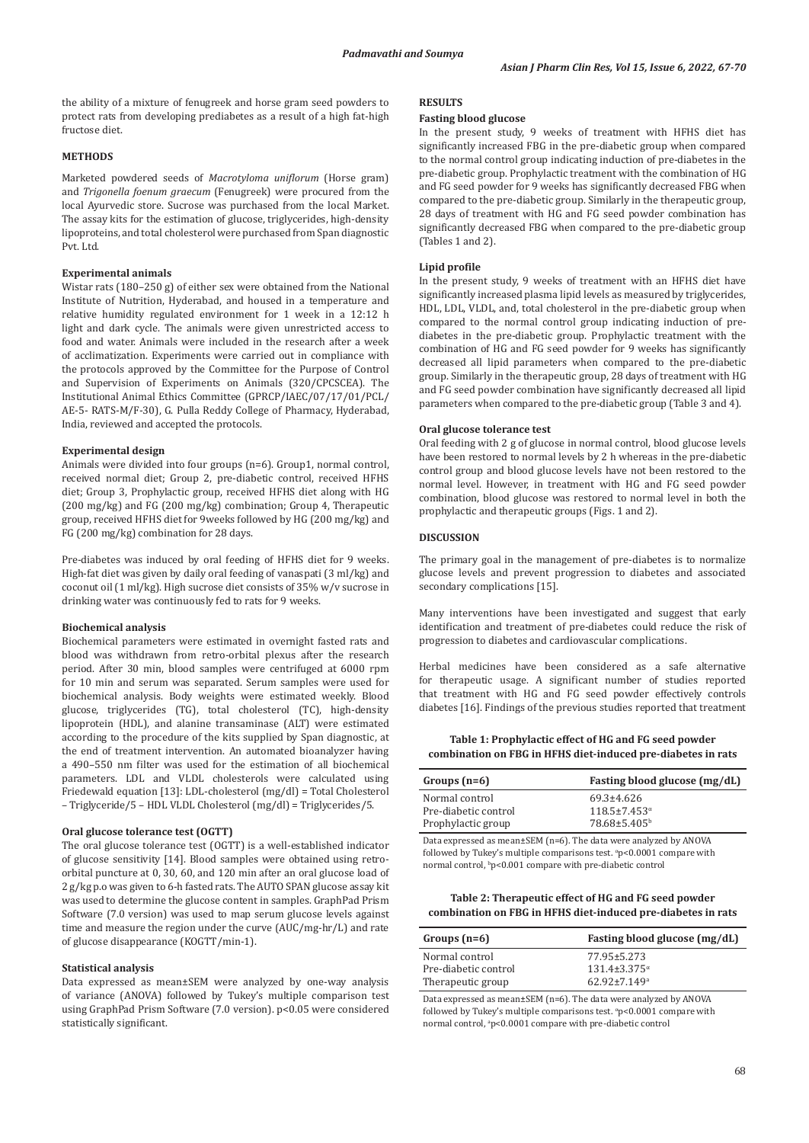the ability of a mixture of fenugreek and horse gram seed powders to protect rats from developing prediabetes as a result of a high fat-high fructose diet.

# **METHODS**

Marketed powdered seeds of *Macrotyloma uniflorum* (Horse gram) and *Trigonella foenum graecum* (Fenugreek) were procured from the local Ayurvedic store. Sucrose was purchased from the local Market. The assay kits for the estimation of glucose, triglycerides, high-density lipoproteins, and total cholesterol were purchased from Span diagnostic Pvt. Ltd.

## **Experimental animals**

Wistar rats (180–250 g) of either sex were obtained from the National Institute of Nutrition, Hyderabad, and housed in a temperature and relative humidity regulated environment for 1 week in a 12:12 h light and dark cycle. The animals were given unrestricted access to food and water. Animals were included in the research after a week of acclimatization. Experiments were carried out in compliance with the protocols approved by the Committee for the Purpose of Control and Supervision of Experiments on Animals (320/CPCSCEA). The Institutional Animal Ethics Committee (GPRCP/IAEC/07/17/01/PCL/ AE-5- RATS-M/F-30), G. Pulla Reddy College of Pharmacy, Hyderabad, India, reviewed and accepted the protocols.

# **Experimental design**

Animals were divided into four groups (n=6). Group1, normal control, received normal diet; Group 2, pre-diabetic control, received HFHS diet; Group 3, Prophylactic group, received HFHS diet along with HG (200 mg/kg) and FG (200 mg/kg) combination; Group 4, Therapeutic group, received HFHS diet for 9weeks followed by HG (200 mg/kg) and FG (200 mg/kg) combination for 28 days.

Pre-diabetes was induced by oral feeding of HFHS diet for 9 weeks. High-fat diet was given by daily oral feeding of vanaspati (3 ml/kg) and coconut oil (1 ml/kg). High sucrose diet consists of 35% w/v sucrose in drinking water was continuously fed to rats for 9 weeks.

#### **Biochemical analysis**

Biochemical parameters were estimated in overnight fasted rats and blood was withdrawn from retro-orbital plexus after the research period. After 30 min, blood samples were centrifuged at 6000 rpm for 10 min and serum was separated. Serum samples were used for biochemical analysis. Body weights were estimated weekly. Blood glucose, triglycerides (TG), total cholesterol (TC), high-density lipoprotein (HDL), and alanine transaminase (ALT) were estimated according to the procedure of the kits supplied by Span diagnostic, at the end of treatment intervention. An automated bioanalyzer having a 490–550 nm filter was used for the estimation of all biochemical parameters. LDL and VLDL cholesterols were calculated using Friedewald equation [13]: LDL-cholesterol (mg/dl) = Total Cholesterol – Triglyceride/5 – HDL VLDL Cholesterol (mg/dl) = Triglycerides/5.

#### **Oral glucose tolerance test (OGTT)**

The oral glucose tolerance test (OGTT) is a well-established indicator of glucose sensitivity [14]. Blood samples were obtained using retroorbital puncture at 0, 30, 60, and 120 min after an oral glucose load of 2 g/kg p.o was given to 6-h fasted rats. The AUTO SPAN glucose assay kit was used to determine the glucose content in samples. GraphPad Prism Software (7.0 version) was used to map serum glucose levels against time and measure the region under the curve (AUC/mg-hr/L) and rate of glucose disappearance (KOGTT/min-1).

## **Statistical analysis**

Data expressed as mean±SEM were analyzed by one-way analysis of variance (ANOVA) followed by Tukey's multiple comparison test using GraphPad Prism Software (7.0 version). p<0.05 were considered statistically significant.

# **RESULTS**

## **Fasting blood glucose**

In the present study, 9 weeks of treatment with HFHS diet has significantly increased FBG in the pre-diabetic group when compared to the normal control group indicating induction of pre-diabetes in the pre-diabetic group. Prophylactic treatment with the combination of HG and FG seed powder for 9 weeks has significantly decreased FBG when compared to the pre-diabetic group. Similarly in the therapeutic group, 28 days of treatment with HG and FG seed powder combination has significantly decreased FBG when compared to the pre-diabetic group (Tables 1 and 2).

## **Lipid profile**

In the present study, 9 weeks of treatment with an HFHS diet have significantly increased plasma lipid levels as measured by triglycerides, HDL, LDL, VLDL, and, total cholesterol in the pre-diabetic group when compared to the normal control group indicating induction of prediabetes in the pre-diabetic group. Prophylactic treatment with the combination of HG and FG seed powder for 9 weeks has significantly decreased all lipid parameters when compared to the pre-diabetic group. Similarly in the therapeutic group, 28 days of treatment with HG and FG seed powder combination have significantly decreased all lipid parameters when compared to the pre-diabetic group (Table 3 and 4).

#### **Oral glucose tolerance test**

Oral feeding with 2 g of glucose in normal control, blood glucose levels have been restored to normal levels by 2 h whereas in the pre-diabetic control group and blood glucose levels have not been restored to the normal level. However, in treatment with HG and FG seed powder combination, blood glucose was restored to normal level in both the prophylactic and therapeutic groups (Figs. 1 and 2).

## **DISCUSSION**

The primary goal in the management of pre-diabetes is to normalize glucose levels and prevent progression to diabetes and associated secondary complications [15].

Many interventions have been investigated and suggest that early identification and treatment of pre-diabetes could reduce the risk of progression to diabetes and cardiovascular complications.

Herbal medicines have been considered as a safe alternative for therapeutic usage. A significant number of studies reported that treatment with HG and FG seed powder effectively controls diabetes [16]. Findings of the previous studies reported that treatment

**Table 1: Prophylactic effect of HG and FG seed powder combination on FBG in HFHS diet‑induced pre‑diabetes in rats**

| Groups $(n=6)$                         | Fasting blood glucose (mg/dL)                  |  |  |
|----------------------------------------|------------------------------------------------|--|--|
| Normal control<br>Pre-diabetic control | $69.3 \pm 4.626$<br>$118.5 \pm 7.453^{\alpha}$ |  |  |
| Prophylactic group                     | $78.68 \pm 5.405^{\circ}$                      |  |  |

Data expressed as mean±SEM (n=6). The data were analyzed by ANOVA followed by Tukey's multiple comparisons test. "p<0.0001 compare with normal control, <sup>b</sup> p<0.001 compare with pre-diabetic control

## **Table 2: Therapeutic effect of HG and FG seed powder combination on FBG in HFHS diet‑induced pre‑diabetes in rats**

| Groups $(n=6)$       | Fasting blood glucose (mg/dL)  |  |  |
|----------------------|--------------------------------|--|--|
| Normal control       | 77.95±5.273                    |  |  |
| Pre-diabetic control | $131.4 \pm 3.375$ <sup>a</sup> |  |  |
| Therapeutic group    | $62.92 \pm 7.149$ <sup>a</sup> |  |  |

Data expressed as mean±SEM (n=6). The data were analyzed by ANOVA followed by Tukey's multiple comparisons test.  $\degree$ p<0.0001 compare with normal control, <sup>a</sup> p<0.0001 compare with pre-diabetic control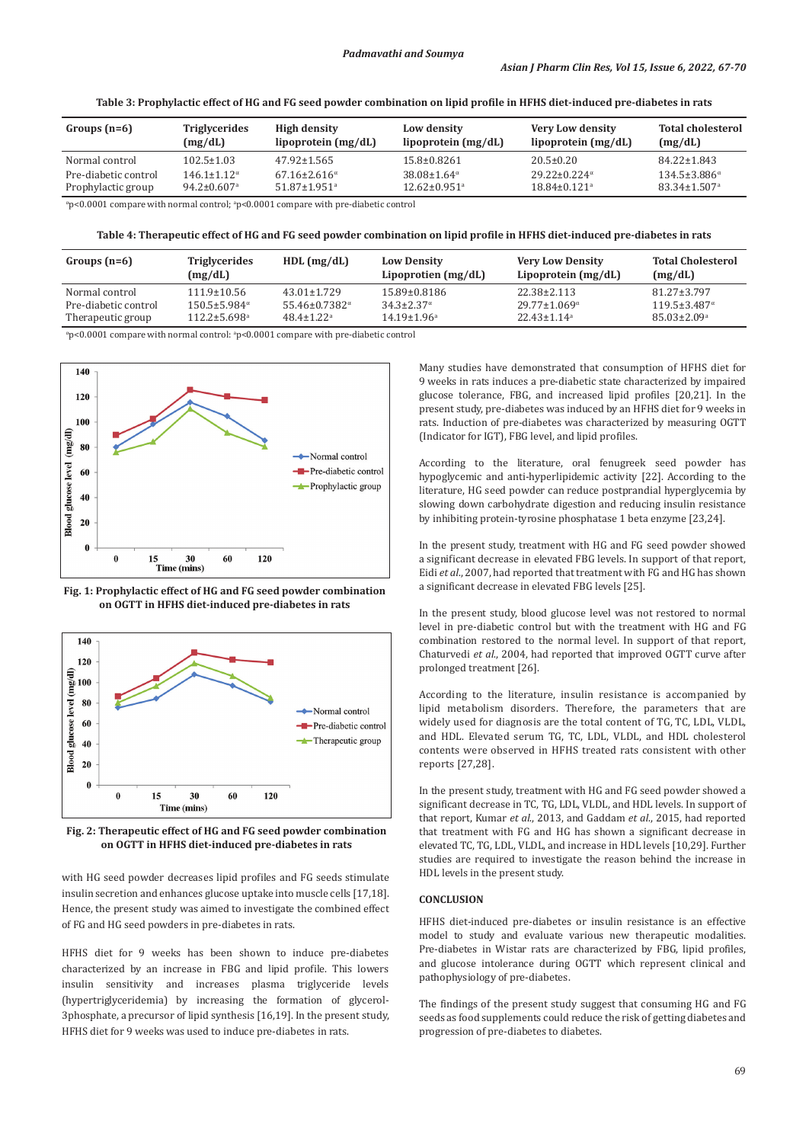**Table 3: Prophylactic effect of HG and FG seed powder combination on lipid profile in HFHS diet‑induced pre‑diabetes in rats**

| Groups $(n=6)$                                                                       | <b>Triglycerides</b><br>(mg/dL) | <b>High density</b><br>lipoprotein $(mg/dL)$ | Low density<br>lipoprotein (mg/dL) | Very Low density<br>lipoprotein $(mg/dL)$ | <b>Total cholesterol</b><br>(mg/dL) |  |
|--------------------------------------------------------------------------------------|---------------------------------|----------------------------------------------|------------------------------------|-------------------------------------------|-------------------------------------|--|
| Normal control                                                                       | $102.5 \pm 1.03$                | $47.92 \pm 1.565$                            | $15.8 \pm 0.8261$                  | $20.5 \pm 0.20$                           | $84.22 \pm 1.843$                   |  |
| Pre-diabetic control                                                                 | $146.1 \pm 1.12^{\alpha}$       | $67.16 \pm 2.616^{\alpha}$                   | $38.08 \pm 1.64^{\alpha}$          | $29.22 \pm 0.224^{\alpha}$                | $134.5 \pm 3.886^{\alpha}$          |  |
| Prophylactic group                                                                   | $94.2 \pm 0.607$ <sup>a</sup>   | $51.87 \pm 1.951$ <sup>a</sup>               | $12.62 \pm 0.951$ <sup>a</sup>     | $18.84 \pm 0.121$ <sup>a</sup>            | $83.34 \pm 1.507$ <sup>a</sup>      |  |
| "p<0.0001 compare with normal control; $ap<0.0001$ compare with pre-diabetic control |                                 |                                              |                                    |                                           |                                     |  |

**Table 4: Therapeutic effect of HG and FG seed powder combination on lipid profile in HFHS diet‑induced pre‑diabetes in rats**

| Groups $(n=6)$       | <b>Triglycerides</b><br>(mg/dL) | $HDL$ (mg/dL)                   | <b>Low Density</b><br>Lipoprotien $(mg/dL)$ | <b>Very Low Density</b><br>Lipoprotein $(mg/dL)$ | <b>Total Cholesterol</b><br>(mg/dL) |
|----------------------|---------------------------------|---------------------------------|---------------------------------------------|--------------------------------------------------|-------------------------------------|
| Normal control       | $111.9 \pm 10.56$               | $43.01 + 1.729$                 | 15.89±0.8186                                | 22.38±2.113                                      | $81.27 \pm 3.797$                   |
| Pre-diabetic control | $150.5 \pm 5.984$ <sup>a</sup>  | $55.46 \pm 0.7382$ <sup>a</sup> | $34.3 \pm 2.37^{\alpha}$                    | $29.77 \pm 1.069^{\alpha}$                       | $119.5 \pm 3.487$ <sup>a</sup>      |
| Therapeutic group    | $112.2 \pm 5.698$ <sup>a</sup>  | $48.4 \pm 1.22$ <sup>a</sup>    | $14.19 \pm 1.96$ <sup>a</sup>               | $22.43+1.14a$                                    | $85.03 \pm 2.09$ <sup>a</sup>       |

 $\text{``p<}$ 0.0001 compare with normal control:  $\text{``p<}$ 0.0001 compare with pre-diabetic control



**Fig. 1: Prophylactic effect of HG and FG seed powder combination on OGTT in HFHS diet-induced pre-diabetes in rats**



**Fig. 2: Therapeutic effect of HG and FG seed powder combination on OGTT in HFHS diet-induced pre-diabetes in rats**

with HG seed powder decreases lipid profiles and FG seeds stimulate insulin secretion and enhances glucose uptake into muscle cells [17,18]. Hence, the present study was aimed to investigate the combined effect of FG and HG seed powders in pre-diabetes in rats.

HFHS diet for 9 weeks has been shown to induce pre-diabetes characterized by an increase in FBG and lipid profile. This lowers insulin sensitivity and increases plasma triglyceride levels (hypertriglyceridemia) by increasing the formation of glycerol-3phosphate, a precursor of lipid synthesis [16,19]. In the present study, HFHS diet for 9 weeks was used to induce pre-diabetes in rats.

Many studies have demonstrated that consumption of HFHS diet for 9 weeks in rats induces a pre-diabetic state characterized by impaired glucose tolerance, FBG, and increased lipid profiles [20,21]. In the present study, pre-diabetes was induced by an HFHS diet for 9 weeks in rats. Induction of pre-diabetes was characterized by measuring OGTT (Indicator for IGT), FBG level, and lipid profiles.

According to the literature, oral fenugreek seed powder has hypoglycemic and anti-hyperlipidemic activity [22]. According to the literature, HG seed powder can reduce postprandial hyperglycemia by slowing down carbohydrate digestion and reducing insulin resistance by inhibiting protein-tyrosine phosphatase 1 beta enzyme [23,24].

In the present study, treatment with HG and FG seed powder showed a significant decrease in elevated FBG levels. In support of that report, Eidi *et al*., 2007, had reported that treatment with FG and HG has shown a significant decrease in elevated FBG levels [25].

In the present study, blood glucose level was not restored to normal level in pre-diabetic control but with the treatment with HG and FG combination restored to the normal level. In support of that report, Chaturvedi *et al*., 2004, had reported that improved OGTT curve after prolonged treatment [26].

According to the literature, insulin resistance is accompanied by lipid metabolism disorders. Therefore, the parameters that are widely used for diagnosis are the total content of TG, TC, LDL, VLDL, and HDL. Elevated serum TG, TC, LDL, VLDL, and HDL cholesterol contents were observed in HFHS treated rats consistent with other reports [27,28].

In the present study, treatment with HG and FG seed powder showed a significant decrease in TC, TG, LDL, VLDL, and HDL levels. In support of that report, Kumar *et al*., 2013, and Gaddam *et al*., 2015, had reported that treatment with FG and HG has shown a significant decrease in elevated TC, TG, LDL, VLDL, and increase in HDL levels [10,29]. Further studies are required to investigate the reason behind the increase in HDL levels in the present study.

# **CONCLUSION**

HFHS diet-induced pre-diabetes or insulin resistance is an effective model to study and evaluate various new therapeutic modalities. Pre-diabetes in Wistar rats are characterized by FBG, lipid profiles, and glucose intolerance during OGTT which represent clinical and pathophysiology of pre-diabetes.

The findings of the present study suggest that consuming HG and FG seeds as food supplements could reduce the risk of getting diabetes and progression of pre-diabetes to diabetes.